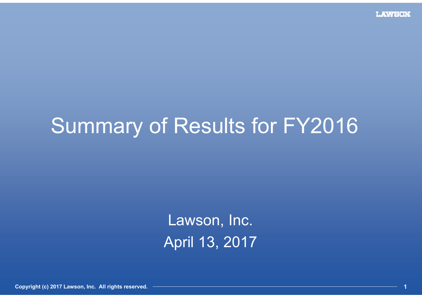# Summary of Results for FY2016

Lawson, Inc. April 13, 2017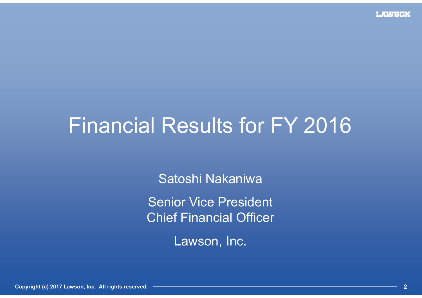# Financial Results for FY 2016

Satoshi Nakaniwa

Senior Vice President Chief Financial Officer

Lawson, Inc.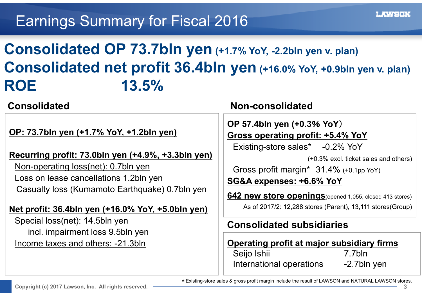### Earnings Summary for Fiscal 2016

# **Consolidated OP 73.7bln yen (+1.7% YoY, -2.2bln yen v. plan) Consolidated net profit 36.4bln yen (+16.0% YoY, +0.9bln yen v. plan) ROE 13.5%**

#### **Consolidated**

#### **OP: 73.7bln yen (+1.7% YoY, +1.2bln yen)**

**Recurring profit: 73.0bln yen (+4.9%, +3.3bln yen)** Non-operating loss(net): 0.7bln yen Loss on lease cancellations 1.2bln yen Casualty loss (Kumamoto Earthquake) 0.7bln yen

#### **Net profit: 36.4bln yen (+16.0% YoY, +5.0bln yen)**

Special loss(net): 14.5bln yen incl. impairment loss 9.5bln yen Income taxes and others: -21.3bln

#### **Non-consolidated**

**OP 57.4bln yen (+0.3**% **YoY**)

**Gross operating profit: +5.4% YoY**

Existing-store sales\* -0.2% YoY

(+0.3% excl. ticket sales and others)

Gross profit margin\* 31.4% (+0.1pp YoY) **SG&A expenses: +6.6% YoY**

**642 new store openings**(opened 1,055, closed 413 stores) As of 2017/2: 12,288 stores (Parent), 13,111 stores(Group)

#### **Consolidated subsidiaries**

#### **Operating profit at major subsidiary firms**

| Seijo Ishii              | 7.7bln      |
|--------------------------|-------------|
| International operations | -2.7bln yen |

\*Existing-store sales & gross profit margin include the result of LAWSON and NATURAL LAWSON stores.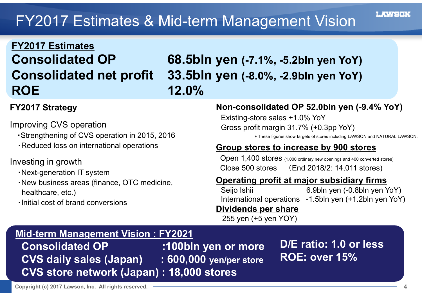# FY2017 Estimates & Mid-term Management Vision

# **FY2017 Estimates ROE 12.0%**

# **Consolidated OP 68.5bln yen (-7.1%, -5.2bln yen YoY) Consolidated net profit 33.5bln yen (-8.0%, -2.9bln yen YoY)**

#### **FY2017 Strategy**

#### Improving CVS operation

- ・Strengthening of CVS operation in 2015, 2016
- ・Reduced loss on international operations

#### Investing in growth

- ・Next-generation IT system
- ・New business areas (finance, OTC medicine, healthcare, etc.)
- ・Initial cost of brand conversions

#### **Non-consolidated OP 52.0bln yen (-9.4% YoY)**

Existing-store sales +1.0% YoY Gross profit margin 31.7% (+0.3pp YoY)

\*These figures show targets of stores including LAWSON and NATURAL LAWSON.

#### **Group stores to increase by 900 stores**

Open 1,400 stores (1,000 ordinary new openings and 400 converted stores) Close 500 stores (End 2018/2: 14,011 stores)

#### **Operating profit at major subsidiary firms**

Seijo Ishii 6.9bln yen (-0.8bln yen YoY) International operations -1.5bln yen (+1.2bln yen YoY)

#### **Dividends per share**

255 yen (+5 yen YOY)

#### **Mid-term Management Vision : FY2021**

**Consolidated OP :100bln yen or more CVS daily sales (Japan) : 600,000 yen/per store CVS store network (Japan) : 18,000 stores**

**D/E ratio: 1.0 or less ROE: over 15%**

LAWER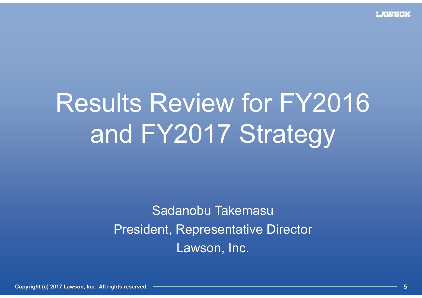# Results Review for FY2016 and FY2017 Strategy

Sadanobu Takemasu President, Representative Director Lawson, Inc.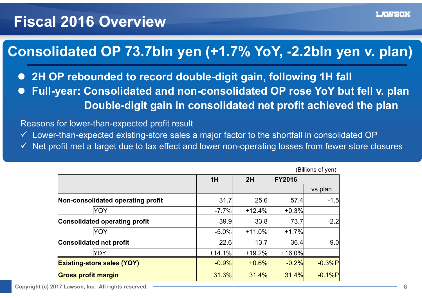#### **Fiscal 2016 Overview**

#### 連結営業利益**737**億円(前年比**101.7**%、計画差▲**22**億円) **Consolidated OP 73.7bln yen (+1.7% YoY, -2.2bln yen v. plan)**

- 2H OP rebounded to record double-digit gain, following 1H fall **• Full-year: Consolidated and non-consolidated OP rose YoY but fell v. plan**  $\bullet$  $\bullet$ 
	- **Double-digit gain in consolidated net profit achieved the plan**

Reasons for lower-than-expected profit result

- $\checkmark$  Lower-than-expected existing-store sales a major factor to the shortfall in consolidated OP
- $\checkmark$  Net profit met a target due to tax effect and lower non-operating losses from fewer store closures

| וייש טויטוויש)                       |                           |          |          |                  |
|--------------------------------------|---------------------------|----------|----------|------------------|
|                                      | 1H<br>2H<br><b>FY2016</b> |          |          |                  |
|                                      |                           |          |          | vs plan          |
| Non-consolidated operating profit    | 31.7                      | 25.6     | 57.4     | $-1.5$           |
| YOY                                  | $-7.7%$                   | $+12.4%$ | $+0.3%$  |                  |
| <b>Consolidated operating profit</b> | 39.9                      | 33.8     | 73.7     | $-2.2$           |
| YOY                                  | $-5.0%$                   | $+11.0%$ | $+1.7%$  |                  |
| <b>Consolidated net profit</b>       | 22.6                      | 13.7     | 36.4     | 9.0 <sup>1</sup> |
| <b>YOY</b>                           | $+14.1%$                  | $+19.2%$ | $+16.0%$ |                  |
| <b>Existing-store sales (YOY)</b>    | $-0.9%$                   | $+0.6%$  | $-0.2%$  | $-0.3%$ P        |
| <b>Gross profit margin</b>           | 31.3%                     | 31.4%    | 31.4%    | $-0.1%P$         |

(Billions of yen)

**Copyright (c) 2017 Lawson, Inc. All rights reserved. 6**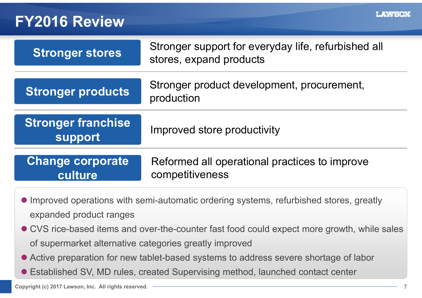#### **FY2016 Review**

| Stronger stores                    | Stronger support for everyday life, refurbished all<br>stores, expand products |
|------------------------------------|--------------------------------------------------------------------------------|
| <b>Stronger products</b>           | Stronger product development, procurement,<br>production                       |
| Stronger franchise<br>support      | Improved store productivity                                                    |
| <b>Change corporate</b><br>culture | Reformed all operational practices to improve<br>competitiveness               |
|                                    |                                                                                |

- Improved operations with semi-automatic ordering systems, refurbished stores, greatly expanded product ranges
- CVS rice-based items and over-the-counter fast food could expect more growth, while sales of supermarket alternative categories greatly improved
- Active preparation for new tablet-based systems to address severe shortage of labor
- Established SV, MD rules, created Supervising method, launched contact center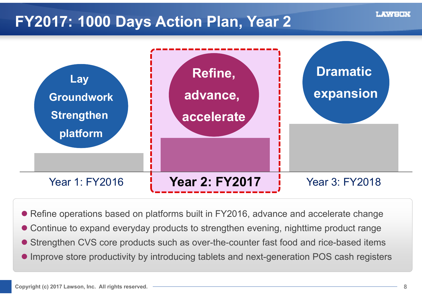### **FY2017: 1000 Days Action Plan, Year 2**



Refine operations based on platforms built in FY2016, advance and accelerate change

- Continue to expand everyday products to strengthen evening, nighttime product range
- Strengthen CVS core products such as over-the-counter fast food and rice-based items
- Improve store productivity by introducing tablets and next-generation POS cash registers

DI NASA ETA BAGI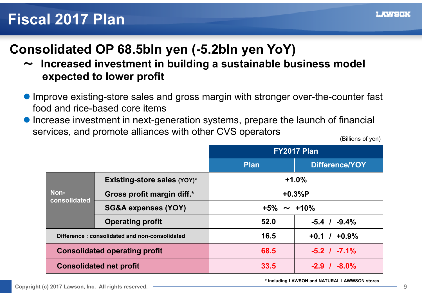### **Fiscal 2017 Plan**

## **Consolidated OP 68.5bln yen (-5.2bln yen YoY)**

- ~ **Increased investment in building a sustainable business model expected to lower profit**
- Improve existing-store sales and gross margin with stronger over-the-counter fast food and rice-based core items
- $\bullet$  Increase investment in next-generation systems, prepare the launch of financial services, and promote alliances with other CVS operators

(Billions of yen)

|                                      |                                               | FY2017 Plan       |                     |  |
|--------------------------------------|-----------------------------------------------|-------------------|---------------------|--|
|                                      |                                               | Plan              | Difference/YOY      |  |
|                                      | Existing-store sales (YOY)*                   |                   | $+1.0%$             |  |
| Non-<br>consolidated                 | Gross profit margin diff.*                    | $+0.3%P$          |                     |  |
|                                      | <b>SG&amp;A expenses (YOY)</b>                | $+5\% \sim +10\%$ |                     |  |
|                                      | <b>Operating profit</b>                       | 52.0              | $-5.4$ / $-9.4\%$   |  |
|                                      | Difference: consolidated and non-consolidated | 16.5              | $+0.9%$<br>$+0.1$ / |  |
| <b>Consolidated operating profit</b> |                                               | 68.5              | $-5.2$ / $-7.1\%$   |  |
| <b>Consolidated net profit</b>       |                                               | 33.5              | $-2.9$ / $-8.0\%$   |  |

**\* Including LAWSON and NATURAL LAWWSON stores**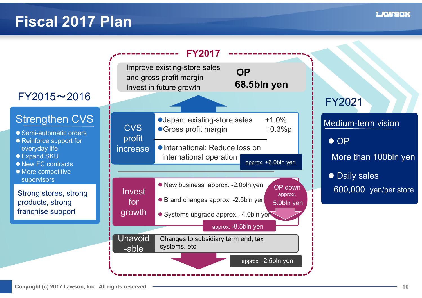### **Fiscal 2017 Plan**



**LAWSON**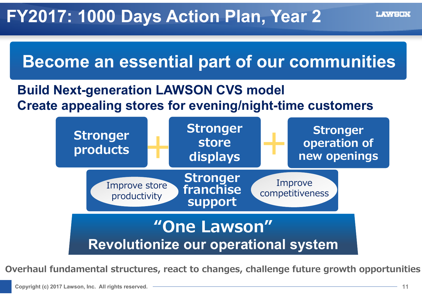

#### **Build Next-generation LAWSON CVS model Create appealing stores for evening/night-time customers**



**Overhaul fundamental structures, react to changes, challenge future growth opportunities**

LAWEDN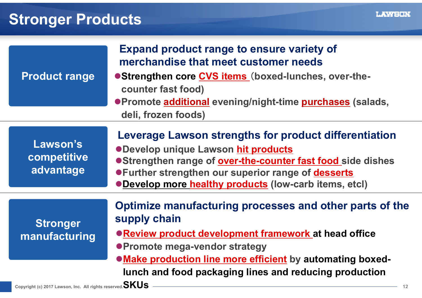# **Stronger Products**

| <b>Product range</b>                                                     | <b>Expand product range to ensure variety of</b><br>merchandise that meet customer needs<br>● Strengthen core CVS items (boxed-lunches, over-the-<br>counter fast food)<br>● Promote additional evening/night-time purchases (salads,<br>deli, frozen foods)                                             |
|--------------------------------------------------------------------------|----------------------------------------------------------------------------------------------------------------------------------------------------------------------------------------------------------------------------------------------------------------------------------------------------------|
| Lawson's<br>competitive<br>advantage                                     | Leverage Lawson strengths for product differentiation<br><b>ODevelop unique Lawson hit products</b><br>●Strengthen range of over-the-counter fast food side dishes<br><b>• Further strengthen our superior range of desserts</b><br><b>• Develop more healthy products (low-carb items, etcl)</b>        |
| <b>Stronger</b><br>manufacturing                                         | Optimize manufacturing processes and other parts of the<br>supply chain<br><b>• Review product development framework at head office</b><br>● Promote mega-vendor strategy<br><b>• Make production line more efficient</b> by automating boxed-<br>lunch and food packaging lines and reducing production |
| Copyright (c) 2017 Lawson, Inc. All rights reserved. $\mathbf{SKUS}$ $-$ | 12                                                                                                                                                                                                                                                                                                       |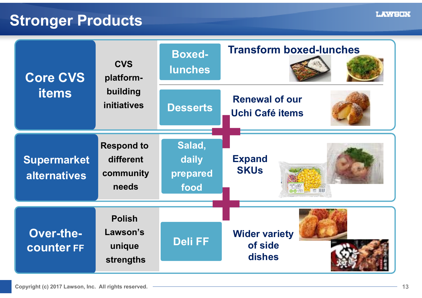#### **Stronger Products**

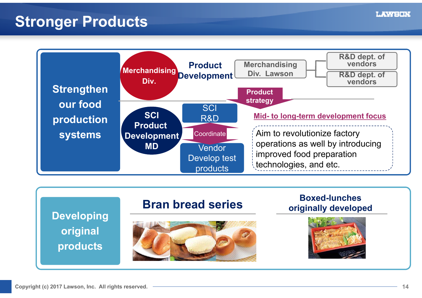#### **Stronger Products**





**LAWSON**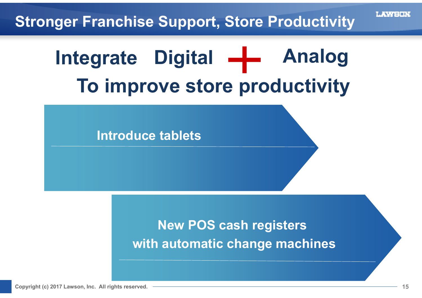

# **Digital Analog IntegrateTo improve store productivity**

**Introduce tablets**

### **New POS cash registers with automatic change machines**

**Copyright (c) 2017 Lawson, Inc. All rights reserved. 15**

L XVIENT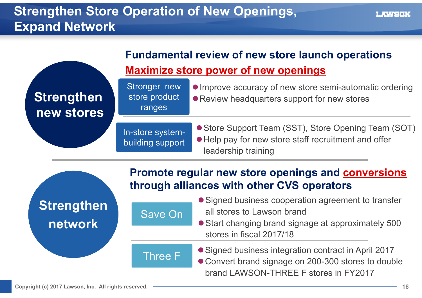#### **Strengthen Store Operation of New Openings, Expand Network**

| <b>Strengthen</b><br>new stores | Stronger new<br>store product<br>ranges | • Improve accuracy of new store semi-automatic ordering<br>• Review headquarters support for new stores                             |  |  |
|---------------------------------|-----------------------------------------|-------------------------------------------------------------------------------------------------------------------------------------|--|--|
|                                 | In-store system-<br>building support    | • Store Support Team (SST), Store Opening Team (SOT)<br>• Help pay for new store staff recruitment and offer<br>leadership training |  |  |
|                                 |                                         | Promote regular new store openings and conversions<br>through alliances with other CVS operators                                    |  |  |

**Strengthen network**

- Signed business cooperation agreement to transfer all stores to Lawson brand
- Start changing brand signage at approximately 500 stores in fiscal 2017/18

Three F

Save On

Signed business integration contract in April 2017 Convert brand signage on 200-300 stores to double brand LAWSON-THREE F stores in FY2017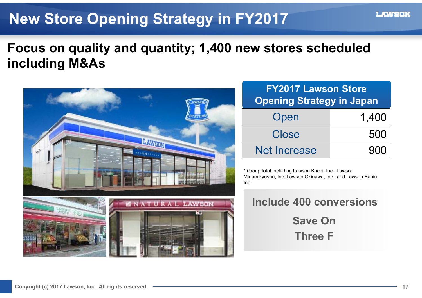### **New Store Opening Strategy in FY2017**

#### **Focus on quality and quantity; 1,400 new stores scheduled including M&As**



| <b>FY2017 Lawson Store</b><br><b>Opening Strategy in Japan</b> |       |  |  |
|----------------------------------------------------------------|-------|--|--|
| Open                                                           | 1,400 |  |  |
| <b>Close</b>                                                   | 500   |  |  |
| <b>Net Increase</b>                                            | 900   |  |  |

\* Group total Including Lawson Kochi, Inc., Lawson Minamikyushu, Inc. Lawson Okinawa, Inc., and Lawson Sanin, Inc.

|  | Include 400 conversions |
|--|-------------------------|
|  | <b>Save On</b>          |
|  | <b>Three F</b>          |

LAWEND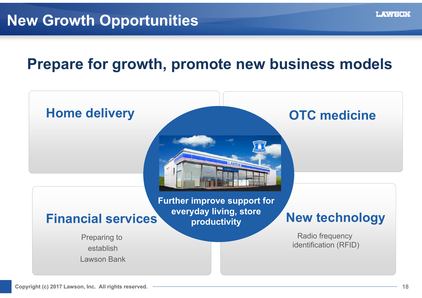#### **Prepare for growth, promote new business models**

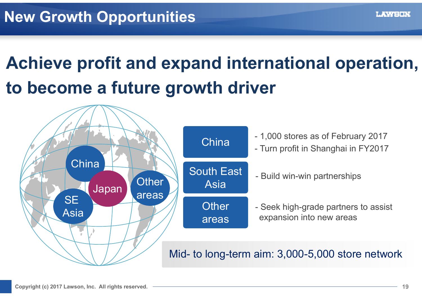# **Achieve profit and expand international operation, to become a future growth driver**

![](_page_18_Figure_2.jpeg)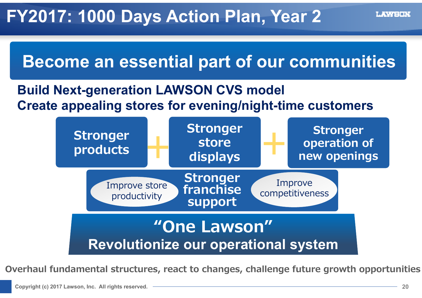![](_page_19_Figure_1.jpeg)

#### **Build Next-generation LAWSON CVS model Create appealing stores for evening/night-time customers**

![](_page_19_Figure_3.jpeg)

**Overhaul fundamental structures, react to changes, challenge future growth opportunities**

LAWEDN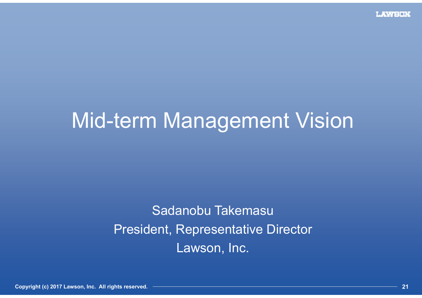# Mid-term Management Vision

# Sadanobu Takemasu President, Representative Director Lawson, Inc.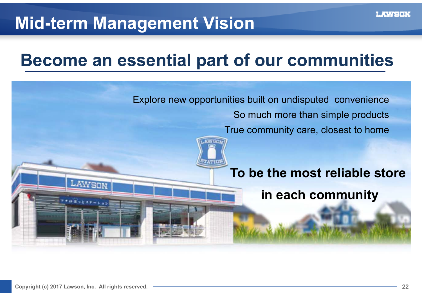# **Mid-term Management Vision**

# **Become an essential part of our communities**

![](_page_21_Picture_3.jpeg)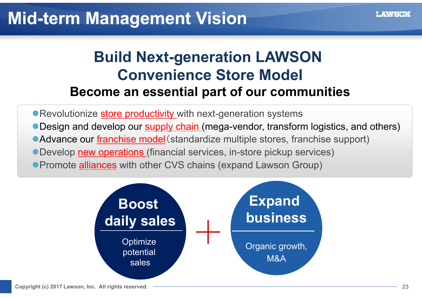### **Build Next-generation LAWSON Convenience Store Model Become an essential part of our communities**

**• Revolutionize store productivity** with next-generation systems • Design and develop our **supply chain** (mega-vendor, transform logistics, and others) ● Advance our franchise model (standardize multiple stores, franchise support) Develop new operations (financial services, in-store pickup services) **• Promote alliances** with other CVS chains (expand Lawson Group)

![](_page_22_Figure_4.jpeg)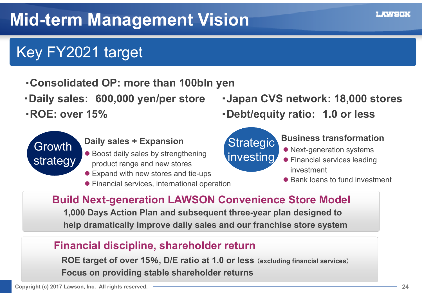# Key FY2021 target

- ・**Consolidated OP: more than 100bln yen**
- 
- ・**ROE: over 15%**

![](_page_23_Picture_5.jpeg)

- Boost daily sales by strengthening product range and new stores
- Expand with new stores and tie-ups
- Financial services, international operation
- ・**Daily sales: 600,000 yen/per store** ・**Japan CVS network: 18,000 stores**
	- ・**Debt/equity ratio: 1.0 or less**

### **Strategic** investing

#### **Daily sales + Expansion Contract Algebraic Business transformation**

- Next-generation systems
- **•** Financial services leading investment
- Bank loans to fund investment

**Build Next-generation LAWSON Convenience Store Model**

**1,000 Days Action Plan and subsequent three-year plan designed to help dramatically improve daily sales and our franchise store system**

#### **Financial discipline, shareholder return**

**ROE target of over 15**%**, D/E ratio at 1.0 or less** (**excluding financial services**) **Focus on providing stable shareholder returns**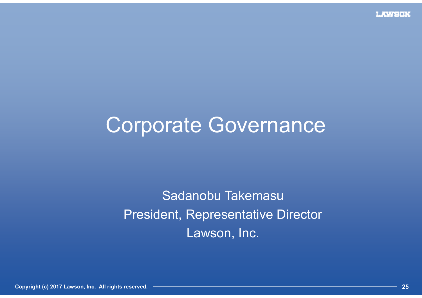# Corporate Governance

Sadanobu Takemasu President, Representative Director Lawson, Inc.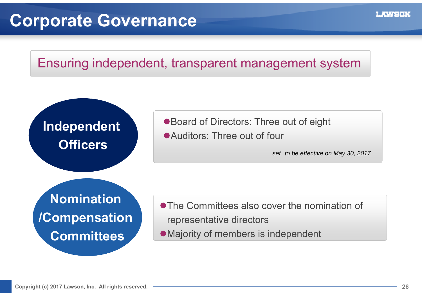# **Corporate Governance**

#### Ensuring independent, transparent management system

![](_page_25_Figure_3.jpeg)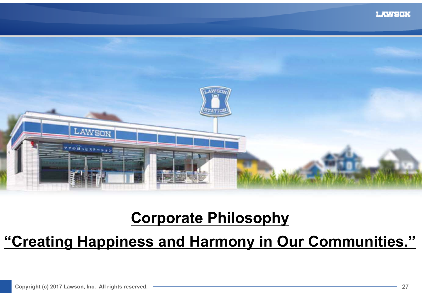![](_page_26_Picture_1.jpeg)

### **Corporate Philosophy**

#### **"Creating Happiness and Harmony in Our Communities."**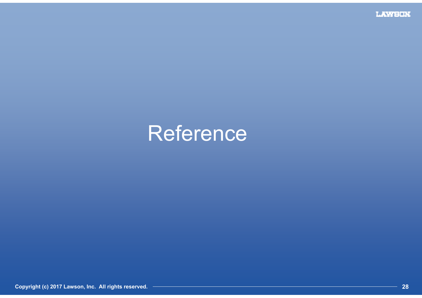**LAWSUN** 

# Reference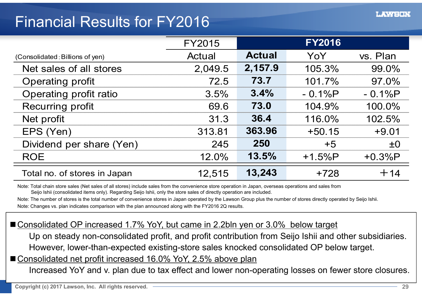#### Financial Results for FY2016

|                                 | <b>FY2015</b> |               | <b>FY2016</b> |          |
|---------------------------------|---------------|---------------|---------------|----------|
| (Consolidated: Billions of yen) | Actual        | <b>Actual</b> | YoY           | vs. Plan |
| Net sales of all stores         | 2,049.5       | 2,157.9       | 105.3%        | 99.0%    |
| <b>Operating profit</b>         | 72.5          | 73.7          | 101.7%        | 97.0%    |
| Operating profit ratio          | 3.5%          | 3.4%          | $-0.1%P$      | $-0.1%P$ |
| Recurring profit                | 69.6          | 73.0          | 104.9%        | 100.0%   |
| Net profit                      | 31.3          | 36.4          | 116.0%        | 102.5%   |
| EPS (Yen)                       | 313.81        | 363.96        | $+50.15$      | $+9.01$  |
| Dividend per share (Yen)        | 245           | 250           | $+5$          | ±0       |
| <b>ROE</b>                      | 12.0%         | 13.5%         | $+1.5%P$      | $+0.3%P$ |
| Total no. of stores in Japan    | 12,515        | 13,243        | $+728$        | $+14$    |

Note: Total chain store sales (Net sales of all stores) include sales from the convenience store operation in Japan, overseas operations and sales from Seijo Ishii (consolidated items only). Regarding Seijo Ishii, only the store sales of directly operation are included.

Note: The number of stores is the total number of convenience stores in Japan operated by the Lawson Group plus the number of stores directly operated by Seijo Ishii. Note: Changes vs. plan indicates comparison with the plan announced along with the FY2016 2Q results.

#### ■ Consolidated OP increased 1.7% YoY, but came in 2.2bln yen or 3.0% below target

Up on steady non-consolidated profit, and profit contribution from Seijo Ishii and other subsidiaries. However, lower-than-expected existing-store sales knocked consolidated OP below target.

#### ■ Consolidated net profit increased 16.0% YoY, 2.5% above plan

Increased YoY and v. plan due to tax effect and lower non-operating losses on fewer store closures.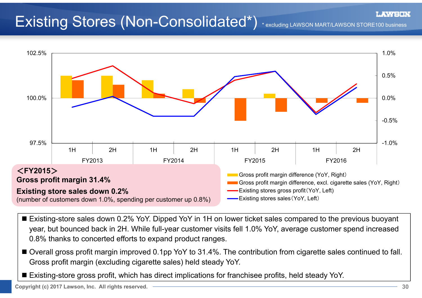# Existing Stores (Non-Consolidated\*) \* excluding LAWSON MART/LAWSON STORE100 business

![](_page_29_Figure_3.jpeg)

- Existing-store sales down 0.2% YoY. Dipped YoY in 1H on lower ticket sales compared to the previous buoyant year, but bounced back in 2H. While full-year customer visits fell 1.0% YoY, average customer spend increased 0.8% thanks to concerted efforts to expand product ranges.
- Overall gross profit margin improved 0.1pp YoY to 31.4%. The contribution from cigarette sales continued to fall. Gross profit margin (excluding cigarette sales) held steady YoY.
- Existing-store gross profit, which has direct implications for franchisee profits, held steady YoY.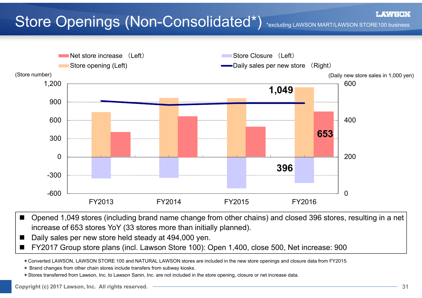# Store Openings (Non-Consolidated\*) \*excluding LAWSON MART/LAWSON STORE100 business

![](_page_30_Figure_2.jpeg)

- $\blacksquare$  Opened 1,049 stores (including brand name change from other chains) and closed 396 stores, resulting in a net increase of 653 stores YoY (33 stores more than initially planned).
- $\blacksquare$ Daily sales per new store held steady at 494,000 yen.
- $\blacksquare$ FY2017 Group store plans (incl. Lawson Store 100): Open 1,400, close 500, Net increase: 900

\*Converted LAWSON, LAWSON STORE 100 and NATURAL LAWSON stores are included in the new store openings and closure data from FY2015.

- \* Brand changes from other chain stores include transfers from subway kiosks.
- \*Stores transferred from Lawson, Inc. to Lawson Sanin, Inc. are not included in the store opening, closure or net increase data.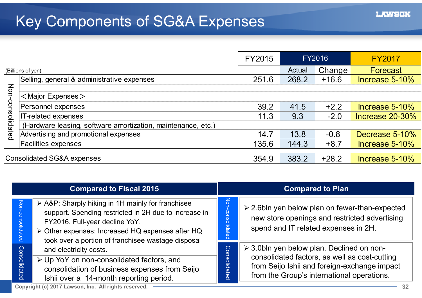|                  |                                                              | FY2015 |        | <b>FY2016</b> | <b>FY2017</b>     |
|------------------|--------------------------------------------------------------|--------|--------|---------------|-------------------|
|                  | (Billions of yen)                                            |        | Actual | Change        | Forecast          |
|                  | Selling, general & administrative expenses                   | 251.6  | 268.2  | $+16.6$       | Increase 5-10%    |
|                  |                                                              |        |        |               |                   |
|                  | $<$ Major Expenses $>$                                       |        |        |               |                   |
| Non-consolidatec | Personnel expenses                                           | 39.2   | 41.5   | $+2.2$        | Increase $5-10\%$ |
|                  | IT-related expenses                                          | 11.3   | 9.3    | $-2.0$        | Increase 20-30%   |
|                  | (Hardware leasing, software amortization, maintenance, etc.) |        |        |               |                   |
|                  | Advertising and promotional expenses                         | 14.7   | 13.8   | $-0.8$        | Decrease 5-10%    |
|                  | <b>Facilities expenses</b>                                   | 135.6  | 144.3  | $+8.7$        | Increase 5-10%    |
|                  |                                                              |        |        |               |                   |
|                  | <b>Consolidated SG&amp;A expenses</b>                        | 354.9  | 383.2  | $+28.2$       | Increase 5-10%    |

| <b>Compared to Fiscal 2015</b> |                                                                                                                                                                                                                                                                                                                                    |                            | <b>Compared to Plan</b>                                                                                                                      |
|--------------------------------|------------------------------------------------------------------------------------------------------------------------------------------------------------------------------------------------------------------------------------------------------------------------------------------------------------------------------------|----------------------------|----------------------------------------------------------------------------------------------------------------------------------------------|
| <b>Nor</b><br>lidated          | > A&P: Sharply hiking in 1H mainly for franchisee<br>support. Spending restricted in 2H due to increase in<br>FY2016. Full-year decline YoY.<br>> Other expenses: Increased HQ expenses after HQ<br>took over a portion of franchisee wastage disposal                                                                             | <u>ion</u><br>consolidated | $\geq$ 2.6bln yen below plan on fewer-than-expected<br>new store openings and restricted advertising<br>spend and IT related expenses in 2H. |
|                                | and electricity costs.                                                                                                                                                                                                                                                                                                             |                            | $\geq$ 3.0bln yen below plan. Declined on non-                                                                                               |
| Consolidated                   | ≻ Up YoY on non-consolidated factors, and<br>consolidation of business expenses from Seijo<br>Ishii over a 14-month reporting period.                                                                                                                                                                                              | Consolidated               | consolidated factors, as well as cost-cutting<br>from Seijo Ishii and foreign-exchange impact<br>from the Group's international operations.  |
|                                | $\mathbf{1}$ $\mathbf{1}$ $\mathbf{1}$ $\mathbf{1}$ $\mathbf{1}$ $\mathbf{1}$ $\mathbf{1}$ $\mathbf{1}$ $\mathbf{1}$ $\mathbf{1}$ $\mathbf{1}$ $\mathbf{1}$ $\mathbf{1}$ $\mathbf{1}$ $\mathbf{1}$ $\mathbf{1}$ $\mathbf{1}$ $\mathbf{1}$ $\mathbf{1}$ $\mathbf{1}$ $\mathbf{1}$ $\mathbf{1}$ $\mathbf{1}$ $\mathbf{1}$ $\mathbf{$ |                            |                                                                                                                                              |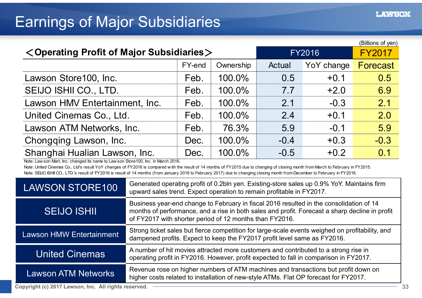#### Earnings of Major Subsidiaries

| (Billions of yen)                                                |               |               |        |            |          |  |  |
|------------------------------------------------------------------|---------------|---------------|--------|------------|----------|--|--|
| <operating major="" of="" profit="" subsidiaries=""></operating> | <b>FY2016</b> | <b>FY2017</b> |        |            |          |  |  |
|                                                                  | FY-end        | Ownership     | Actual | YoY change | Forecast |  |  |
| Lawson Store100, Inc.                                            | Feb.          | 100.0%        | 0.5    | $+0.1$     | 0.5      |  |  |
| SEIJO ISHII CO., LTD.                                            | Feb.          | 100.0%        | 7.7    | $+2.0$     | 6.9      |  |  |
| Lawson HMV Entertainment, Inc.                                   | Feb.          | 100.0%        | 2.1    | $-0.3$     | 2.1      |  |  |
| United Cinemas Co., Ltd.                                         | Feb.          | 100.0%        | 2.4    | $+0.1$     | 2.0      |  |  |
| Lawson ATM Networks, Inc.                                        | Feb.          | 76.3%         | 5.9    | $-0.1$     | 5.9      |  |  |
| Chongqing Lawson, Inc.                                           | Dec.          | 100.0%        | $-0.4$ | $+0.3$     | $-0.3$   |  |  |
| Shanghai Hualian Lawson, Inc.                                    | Dec.          | 100.0%        | $-0.5$ | $+0.2$     | 0.1      |  |  |

Note: Law son Mart, Inc. changed its name to Law son Store100, Inc. in March 2016.

Note: United Cinemas Co., Ltd's result YoY changes of FY2016 is compared w ith the result of 14 months of FY2015 due to changing of closing month from March to February in FY2015. Note: SEUO ISHII CO., LTD.'s result of FY2016 is result of 14 months (from January 2016 to February 2017) due to changing closing month from December to February in FY2016.

| <b>LAWSON STORE100</b>          | Generated operating profit of 0.2bln yen. Existing-store sales up 0.9% YoY. Maintains firm<br>upward sales trend. Expect operation to remain profitable in FY2017.                                                                                   |
|---------------------------------|------------------------------------------------------------------------------------------------------------------------------------------------------------------------------------------------------------------------------------------------------|
| <b>SEIJO ISHII</b>              | Business year-end change to February in fiscal 2016 resulted in the consolidation of 14<br>months of performance, and a rise in both sales and profit. Forecast a sharp decline in profit<br>of FY2017 with shorter period of 12 months than FY2016. |
| <b>Lawson HMW Entertainment</b> | Strong ticket sales but fierce competition for large-scale events weighed on profitability, and<br>dampened profits. Expect to keep the FY2017 profit level same as FY2016.                                                                          |
| <b>United Cinemas</b>           | A number of hit movies attracted more customers and contributed to a strong rise in<br>operating profit in FY2016. However, profit expected to fall in comparison in FY2017.                                                                         |
| <b>Lawson ATM Networks</b>      | Revenue rose on higher numbers of ATM machines and transactions but profit down on<br>higher costs related to installation of new-style ATMs. Flat OP forecast for FY2017.                                                                           |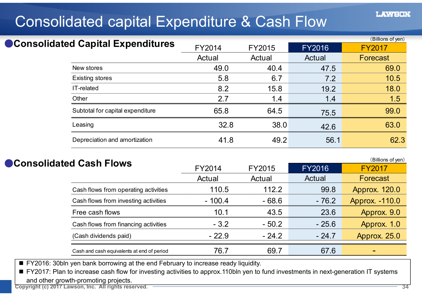### Consolidated capital Expenditure & Cash Flow

|                                     |        |        |               | (Billions of yen) |
|-------------------------------------|--------|--------|---------------|-------------------|
| ● Consolidated Capital Expenditures | FY2014 | FY2015 | <b>FY2016</b> | <b>FY2017</b>     |
|                                     | Actual | Actual | Actual        | Forecast          |
| New stores                          | 49.0   | 40.4   | 47.5          | 69.0              |
| <b>Existing stores</b>              | 5.8    | 6.7    | 7.2           | 10.5              |
| IT-related                          | 8.2    | 15.8   | 19.2          | 18.0              |
| Other                               | 2.7    | 1.4    | 1.4           | 1.5               |
| Subtotal for capital expenditure    | 65.8   | 64.5   | 75.5          | 99.0              |
| Leasing                             | 32.8   | 38.0   | 42.6          | 63.0              |
| Depreciation and amortization       | 41.8   | 49.2   | 56.1          | 62.3              |

#### ●**Consolidated Cash Flows**

(Billions of yen) FY2014 FY2015 FY2016 FY2017 **Actual**  Actual Actual Forecast Cash flows from operating activities 110.5 112.2 99.8 Approx. 120.0 Cash flows from investing activities  $- 100.4 - 68.6 - 76.2$  Approx. -110.0 Free cash flows 10.1 43.5 23.6 Approx. 9.0 Cash flows from financing activities  $-3.2$   $-50.2$   $-25.6$  Approx. 1.0 (Cash dividends paid) - 22.9 - 24.2 - 24.7 Approx. 25.0 Cash and cash equivalents at end of period  $\begin{array}{ccc} 76.7 & 69.7 & \end{array}$  67.6

FY2016: 30bln yen bank borrowing at the end February to increase ready liquidity.

■ FY2017: Plan to increase cash flow for investing activities to approx.110bln yen to fund investments in next-generation IT systems and other growth-promoting projects.

**Copyright (c) 2017 Lawson, Inc. All rights reserved. 34**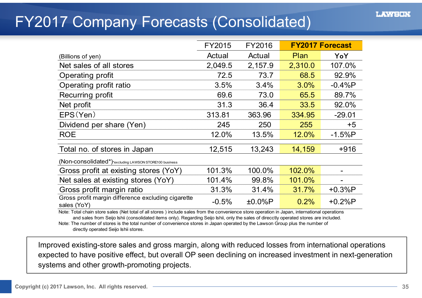### FY2017 Company Forecasts (Consolidated)

|                                                                                                                                               | FY2015  | FY2016    |         | <b>FY2017 Forecast</b> |  |  |  |
|-----------------------------------------------------------------------------------------------------------------------------------------------|---------|-----------|---------|------------------------|--|--|--|
| (Billions of yen)                                                                                                                             | Actual  | Actual    | Plan    | YoY                    |  |  |  |
| Net sales of all stores                                                                                                                       | 2,049.5 | 2,157.9   | 2,310.0 | 107.0%                 |  |  |  |
| Operating profit                                                                                                                              | 72.5    | 73.7      | 68.5    | 92.9%                  |  |  |  |
| Operating profit ratio                                                                                                                        | 3.5%    | 3.4%      | 3.0%    | $-0.4%P$               |  |  |  |
| Recurring profit                                                                                                                              | 69.6    | 73.0      | 65.5    | 89.7%                  |  |  |  |
| Net profit                                                                                                                                    | 31.3    | 36.4      | 33.5    | 92.0%                  |  |  |  |
| EPS(Yen)                                                                                                                                      | 313.81  | 363.96    | 334.95  | $-29.01$               |  |  |  |
| Dividend per share (Yen)                                                                                                                      | 245     | 250       | 255     | $+5$                   |  |  |  |
| <b>ROE</b>                                                                                                                                    | 12.0%   | 13.5%     | 12.0%   | $-1.5%P$               |  |  |  |
| Total no. of stores in Japan                                                                                                                  | 12,515  | 13,243    | 14,159  | $+916$                 |  |  |  |
| (Non-consolidated*)*excluding LAWSON STORE100 business                                                                                        |         |           |         |                        |  |  |  |
| Gross profit at existing stores (YoY)                                                                                                         | 101.3%  | 100.0%    | 102.0%  |                        |  |  |  |
| Net sales at existing stores (YoY)                                                                                                            | 101.4%  | 99.8%     | 101.0%  |                        |  |  |  |
| Gross profit margin ratio                                                                                                                     | 31.3%   | 31.4%     | 31.7%   | $+0.3%P$               |  |  |  |
| Gross profit margin difference excluding cigarette<br>sales (YoY)                                                                             | $-0.5%$ | $±0.0\%P$ | 0.2%    | $+0.2%P$               |  |  |  |
| Note: Total chain store sales (Net total of all stores) include sales from the convenience store operation in Japan, international operations |         |           |         |                        |  |  |  |

and sales from Seijo Ishii (consolidated items only). Regarding Seijo Ishii, only the sales of direcctly operated stores are included.

Note: The number of stores is the total number of convenience stores in Japan operated by the Lawson Group plus the number of directly operated Seijo Ishii stores.

 Improved existing-store sales and gross margin, along with reduced losses from international operations expected to have positive effect, but overall OP seen declining on increased investment in next-generation systems and other growth-promoting projects.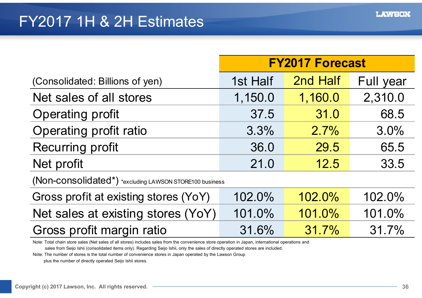### FY2017 1H & 2H Estimates

|                                                         | <b>FY2017 Forecast</b> |          |           |  |  |  |
|---------------------------------------------------------|------------------------|----------|-----------|--|--|--|
| (Consolidated: Billions of yen)                         | 1st Half               | 2nd Half | Full year |  |  |  |
| Net sales of all stores                                 | 1,150.0                | 1,160.0  | 2,310.0   |  |  |  |
| <b>Operating profit</b>                                 | 37.5                   | 31.0     | 68.5      |  |  |  |
| Operating profit ratio                                  | 3.3%                   | 2.7%     | 3.0%      |  |  |  |
| <b>Recurring profit</b>                                 | 36.0                   | 29.5     | 65.5      |  |  |  |
| Net profit                                              | 21.0                   | 12.5     | 33.5      |  |  |  |
| (Non-consolidated*) *excluding LAWSON STORE100 business |                        |          |           |  |  |  |
| Gross profit at existing stores (YoY)                   | 102.0%                 | 102.0%   | 102.0%    |  |  |  |
| Net sales at existing stores (YoY)                      | 101.0%                 | 101.0%   | 101.0%    |  |  |  |
| Gross profit margin ratio                               | 31.6%                  | 31.7%    | 31.7%     |  |  |  |

Note: Total chain store sales (Net sales of all stores) includes sales from the convenience store operation in Japan, international operations and

sales from Seijo Ishii (consolidated items only). Regarding Seijo Ishii, only the sales of directly operated stores are included.

Note: The number of stores is the total number of convenience stores in Japan operated by the Lawson Group

plus the number of directly operated Seijo Ishii stores.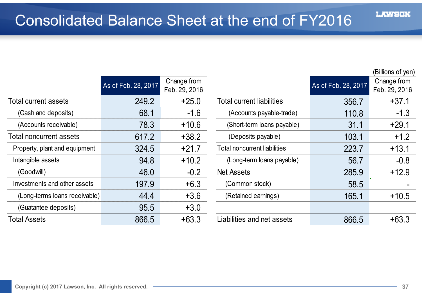### Consolidated Balance Sheet at the end of FY2016

|                                | As of Feb. 28, 2017 | Change from<br>Feb. 29, 2016 |                                     | As of Feb. 28, 2017 | Change from<br>Feb. 29, 201 |
|--------------------------------|---------------------|------------------------------|-------------------------------------|---------------------|-----------------------------|
| Total current assets           | 249.2               | $+25.0$                      | <b>Total current liabilities</b>    | 356.7               | $+37.1$                     |
| (Cash and deposits)            | 68.1                | $-1.6$                       | (Accounts payable-trade)            | 110.8               | $-1.3$                      |
| (Accounts receivable)          | 78.3                | $+10.6$                      | (Short-term loans payable)          | 31.1                | $+29.1$                     |
| <b>Total noncurrent assets</b> | 617.2               | $+38.2$                      | (Deposits payable)                  | 103.1               | $+1.2$                      |
| Property, plant and equipment  | 324.5               | $+21.7$                      | <b>Total noncurrent liabilities</b> | 223.7               | $+13.1$                     |
| Intangible assets              | 94.8                | $+10.2$                      | (Long-term loans payable)           | 56.7                | $-0.8$                      |
| (Goodwill)                     | 46.0                | $-0.2$                       | <b>Net Assets</b>                   | 285.9               | $+12.9$                     |
| Investments and other assets   | 197.9               | $+6.3$                       | (Common stock)                      | 58.5                |                             |
| (Long-terms loans receivable)  | 44.4                | $+3.6$                       | (Retained earnings)                 | 165.1               | $+10.5$                     |
| (Guatantee deposits)           | 95.5                | $+3.0$                       |                                     |                     |                             |
| <b>Total Assets</b>            | 866.5               | $+63.3$                      | Liabilities and net assets          | 866.5               | $+63.3$                     |

|           |                     |                              |                                     |                     | (Billions of yen)            |
|-----------|---------------------|------------------------------|-------------------------------------|---------------------|------------------------------|
|           | As of Feb. 28, 2017 | Change from<br>Feb. 29, 2016 |                                     | As of Feb. 28, 2017 | Change from<br>Feb. 29, 2016 |
|           | 249.2               | $+25.0$                      | <b>Total current liabilities</b>    | 356.7               | $+37.1$                      |
|           | 68.1                | $-1.6$                       | (Accounts payable-trade)            | 110.8               | $-1.3$                       |
|           | 78.3                | $+10.6$                      | (Short-term loans payable)          | 31.1                | $+29.1$                      |
| S         | 617.2               | $+38.2$                      | (Deposits payable)                  | 103.1               | $+1.2$                       |
| ipment    | 324.5               | $+21.7$                      | <b>Total noncurrent liabilities</b> | 223.7               | $+13.1$                      |
|           | 94.8                | $+10.2$                      | (Long-term loans payable)           | 56.7                | $-0.8$                       |
|           | 46.0                | $-0.2$                       | <b>Net Assets</b>                   | 285.9               | $+12.9$                      |
| assets    | 197.9               | $+6.3$                       | (Common stock)                      | 58.5                |                              |
| ceivable) | 44.4                | $+3.6$                       | (Retained earnings)                 | 165.1               | $+10.5$                      |
|           | 95.5                | $+3.0$                       |                                     |                     |                              |
|           | 866.5               | $+63.3$                      | Liabilities and net assets          | 866.5               | $+63.3$                      |